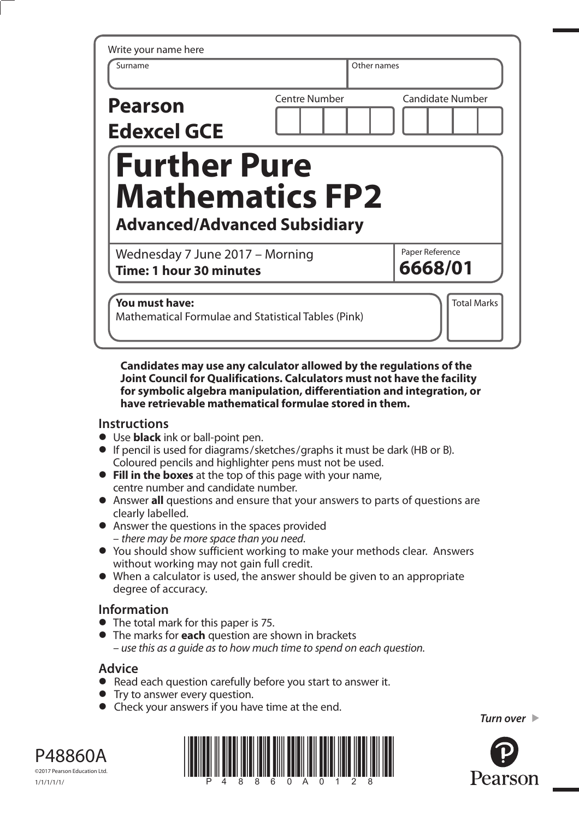| Surname                                                                | Other names          |                            |
|------------------------------------------------------------------------|----------------------|----------------------------|
| <b>Pearson</b><br><b>Edexcel GCE</b>                                   | <b>Centre Number</b> | <b>Candidate Number</b>    |
| <b>Further Pure</b>                                                    |                      |                            |
| <b>Mathematics FP2</b>                                                 |                      |                            |
| <b>Advanced/Advanced Subsidiary</b><br>Wednesday 7 June 2017 - Morning |                      | Paper Reference<br>6668/01 |

**Candidates may use any calculator allowed by the regulations of the Joint Council for Qualifications. Calculators must not have the facility for symbolic algebra manipulation, differentiation and integration, or have retrievable mathematical formulae stored in them.** 

## **Instructions**

- **•** Use **black** ink or ball-point pen.
- **•** If pencil is used for diagrams/sketches/graphs it must be dark (HB or B). Coloured pencils and highlighter pens must not be used.
- **• Fill in the boxes** at the top of this page with your name, centre number and candidate number.
- **•** Answer **all** questions and ensure that your answers to parts of questions are clearly labelled.
- **•** Answer the questions in the spaces provided – there may be more space than you need.
- **•** You should show sufficient working to make your methods clear. Answers without working may not gain full credit.
- **•** When a calculator is used, the answer should be given to an appropriate degree of accuracy.

## **Information**

- **•** The total mark for this paper is 75.
- **•** The marks for **each** question are shown in brackets – use this as a guide as to how much time to spend on each question.

## **Advice**

- **Advice**<br>● Read each question carefully before you start to answer it.
- Read each question carefully<br>• Try to answer every question.
- Try to answer every question.<br>• Check your answers if you have time at the end.

*Turn over* 



P48860A ©2017 Pearson Education Ltd. 1/1/1/1/1/

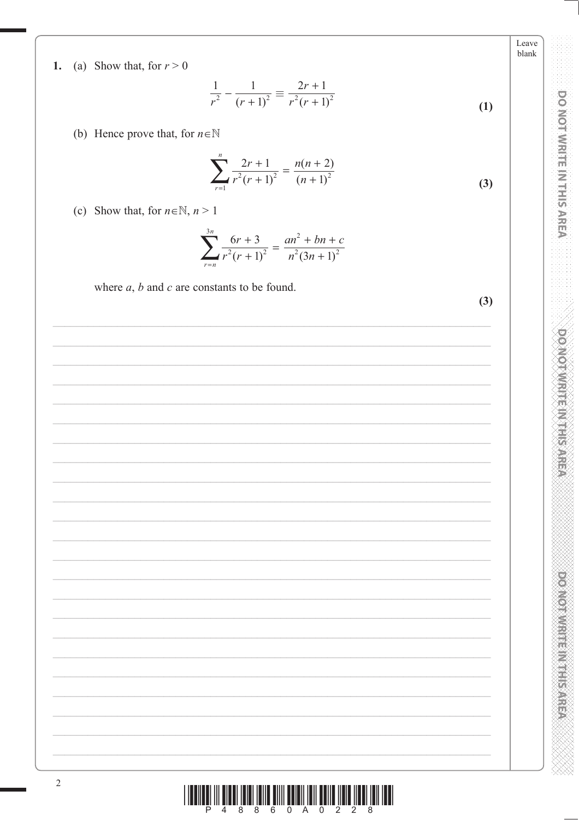1. (a) Show that, for  $r > 0$ 

$$
\frac{1}{r^2} - \frac{1}{(r+1)^2} \equiv \frac{2r+1}{r^2(r+1)^2}
$$
 (1)

## (b) Hence prove that, for  $n \in \mathbb{N}$

$$
\sum_{r=1}^{n} \frac{2r+1}{r^2(r+1)^2} = \frac{n(n+2)}{(n+1)^2}
$$
 (3)

(c) Show that, for  $n \in \mathbb{N}$ ,  $n > 1$ 

$$
\sum_{r=n}^{3n} \frac{6r+3}{r^2(r+1)^2} = \frac{an^2 + bn + c}{n^2(3n+1)^2}
$$

where  $a, b$  and  $c$  are constants to be found.

 $(3)$ 

Leave blank

**DO NOT WRITEIN IN TERRES** 

**DOMOTHMENT ENGINEER**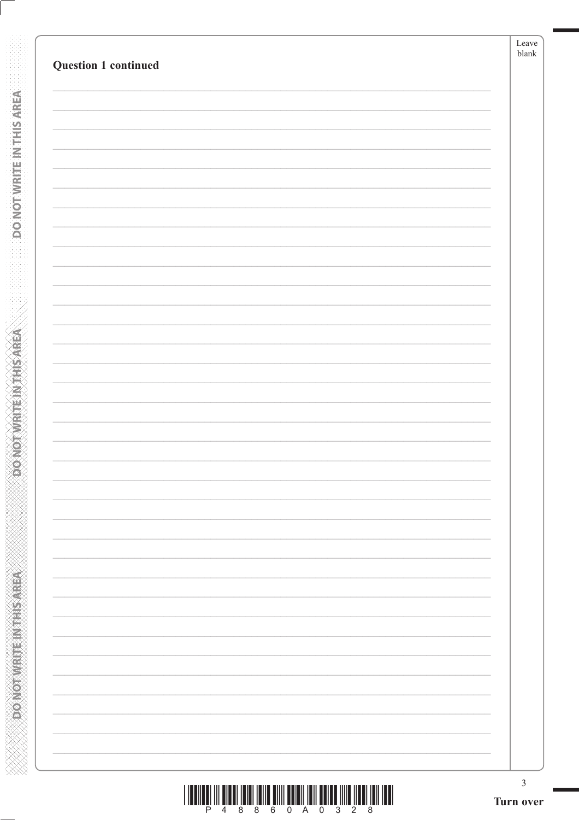| Question 1 continued |                          |
|----------------------|--------------------------|
|                      |                          |
|                      |                          |
|                      |                          |
|                      |                          |
|                      |                          |
|                      |                          |
|                      |                          |
|                      |                          |
|                      |                          |
|                      |                          |
|                      |                          |
|                      |                          |
|                      |                          |
|                      |                          |
|                      |                          |
|                      |                          |
|                      |                          |
|                      |                          |
|                      |                          |
|                      |                          |
|                      | $\overline{\phantom{0}}$ |
|                      |                          |
|                      | $\overline{\phantom{0}}$ |
|                      |                          |
|                      |                          |
|                      | $\overline{\phantom{0}}$ |
|                      |                          |
|                      | $\overline{\phantom{0}}$ |
|                      |                          |

**DONOTWRITE IN THIS AREA** 

**ACCRES RELINEERING CONCOR**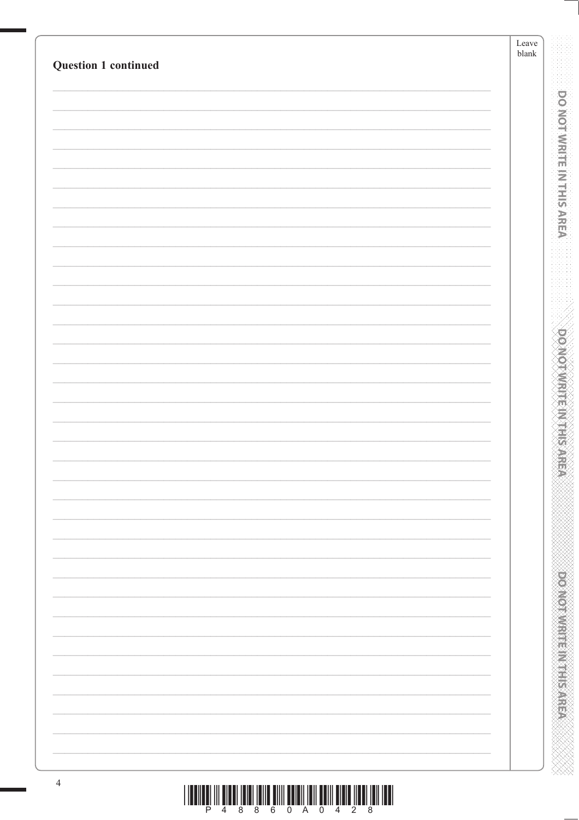| Question 1 continued | Leave<br>${\it blank}$ |
|----------------------|------------------------|
|                      |                        |
|                      |                        |
|                      |                        |
|                      |                        |
|                      |                        |
|                      |                        |
|                      |                        |
|                      |                        |
|                      |                        |
|                      |                        |
|                      |                        |
|                      |                        |
|                      |                        |
|                      |                        |
|                      |                        |
|                      |                        |
|                      |                        |
|                      |                        |
|                      |                        |
|                      |                        |
|                      |                        |
|                      |                        |
|                      |                        |
|                      |                        |
|                      |                        |
|                      |                        |
|                      |                        |
|                      |                        |
|                      |                        |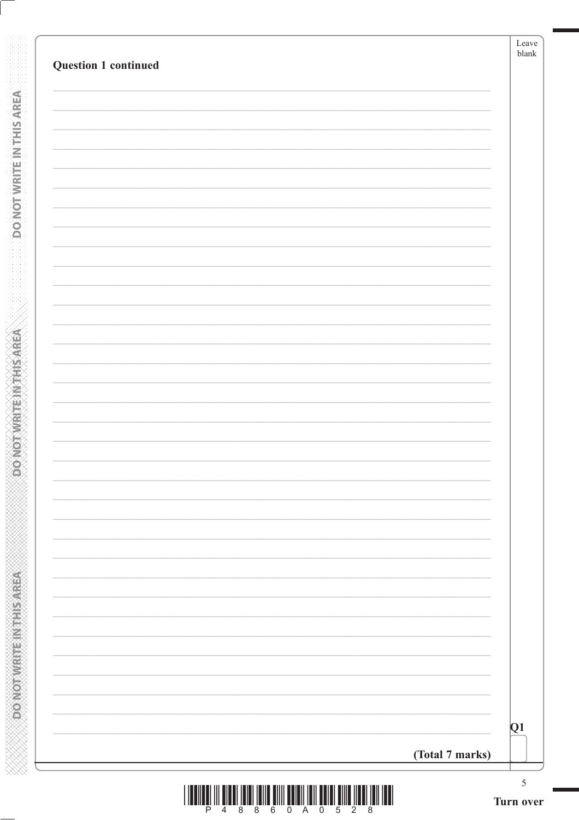| <b>Question 1 continued</b> |                                    |
|-----------------------------|------------------------------------|
|                             |                                    |
|                             |                                    |
|                             |                                    |
|                             |                                    |
|                             |                                    |
|                             |                                    |
|                             |                                    |
|                             |                                    |
|                             |                                    |
|                             |                                    |
|                             |                                    |
|                             |                                    |
|                             |                                    |
|                             |                                    |
|                             |                                    |
|                             |                                    |
|                             |                                    |
|                             |                                    |
|                             |                                    |
|                             |                                    |
|                             |                                    |
|                             |                                    |
|                             |                                    |
|                             |                                    |
|                             | $\overline{Q1}$<br>(Total 7 marks) |

**DONOTWRITEW THE AREA** 

**ASSAMPLINE IN THE WATER** 

XXXXXXXXXXXXXXXXXXXXXXXXXXX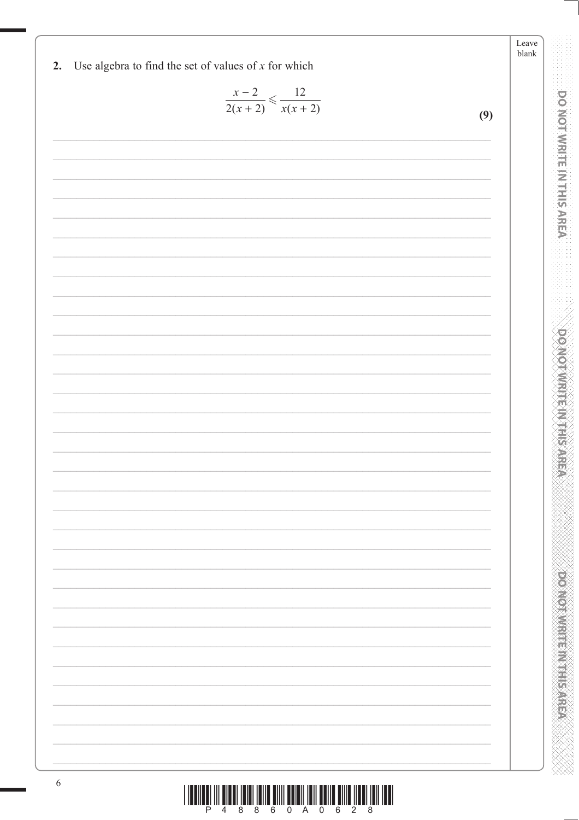| $rac{x-2}{2(x+2)} \leq \frac{12}{x(x+2)}$ |     |
|-------------------------------------------|-----|
|                                           | (9) |
|                                           |     |
|                                           |     |
|                                           |     |
|                                           |     |
|                                           |     |
|                                           |     |
|                                           |     |
|                                           |     |
|                                           |     |
|                                           |     |
|                                           |     |
|                                           |     |
|                                           |     |
|                                           |     |
|                                           |     |
|                                           |     |
|                                           |     |
|                                           |     |
|                                           |     |
|                                           |     |
|                                           |     |
|                                           |     |
|                                           |     |
|                                           |     |
|                                           |     |
|                                           |     |
|                                           |     |
|                                           |     |
|                                           |     |
|                                           |     |
|                                           |     |
|                                           |     |
|                                           |     |
|                                           |     |
|                                           |     |
|                                           |     |
|                                           |     |
|                                           |     |

Leave

**DO NOT WRITE IN THIS AREA** 

**DOMOTIVE IN ENGINEER** 

XXXX

1.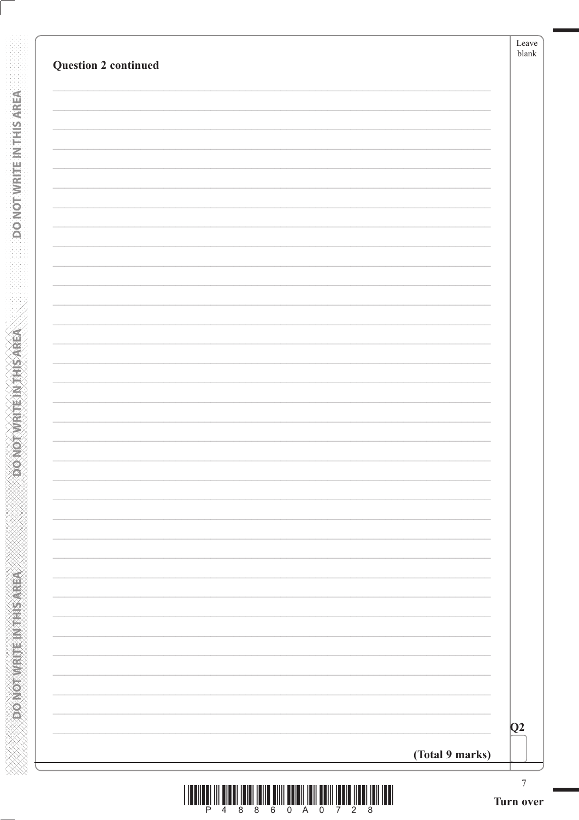| <b>Question 2 continued</b> |                  | blank |
|-----------------------------|------------------|-------|
|                             |                  |       |
|                             |                  |       |
|                             |                  |       |
|                             |                  |       |
|                             |                  |       |
|                             |                  |       |
|                             |                  |       |
|                             |                  |       |
|                             |                  |       |
|                             |                  |       |
|                             |                  |       |
|                             |                  |       |
|                             |                  |       |
|                             |                  |       |
|                             |                  |       |
|                             |                  |       |
|                             |                  |       |
|                             | $\overline{Q^2}$ |       |
|                             | (Total 9 marks)  |       |

**DONOTWRITE IN THIS AREA** 

**ASSAMPLINE IN THE WATER** 

**ANNAN ANNAN ANNAN ANNAN ANNAN ANN**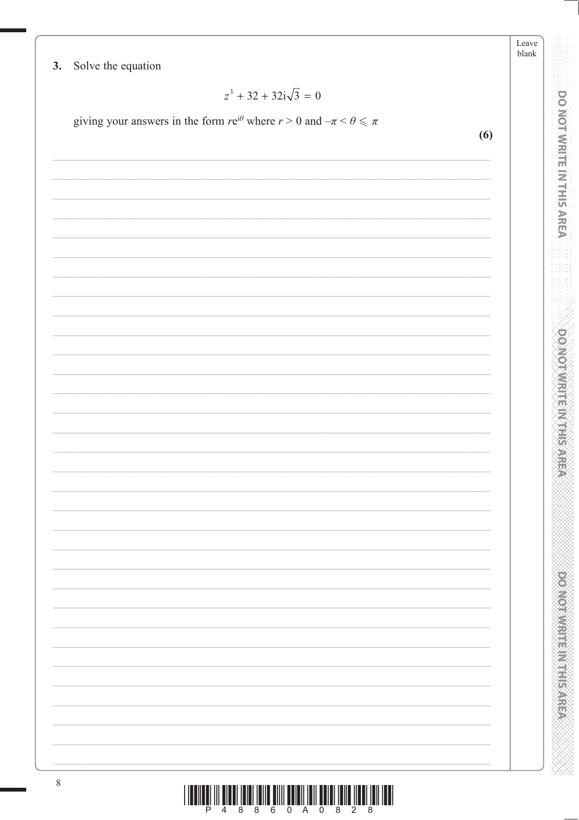Leave blank

**DO NOT WRITE IN THIS AREA** 

**DOMOTIVIRITE IN THIS AREA** 

**DOOMOTOM: IEEN CENTER** 

Solve the equation  $3.$ 

$$
z^3 + 32 + 32i\sqrt{3} = 0
$$

giving your answers in the form  $re^{i\theta}$  where  $r > 0$  and  $-\pi < \theta \le \pi$ 

 $(6)$  $\,8\,$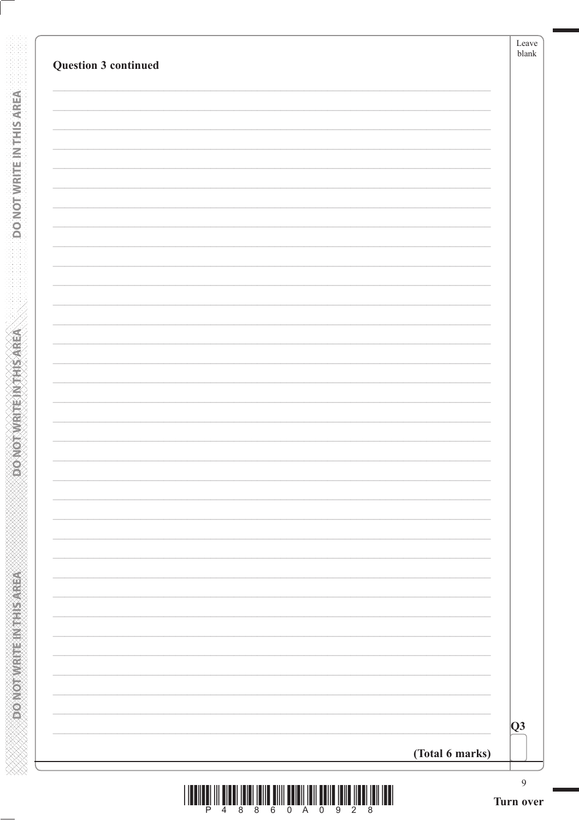| Q3 <br>(Total 6 marks) |
|------------------------|

**DONOTWRITEINTHISAREA** 

**ACCRES RELINEERING CONCOR** 

**XXXXXXXXXXXXXXXXXXXXXXXXXXXXX**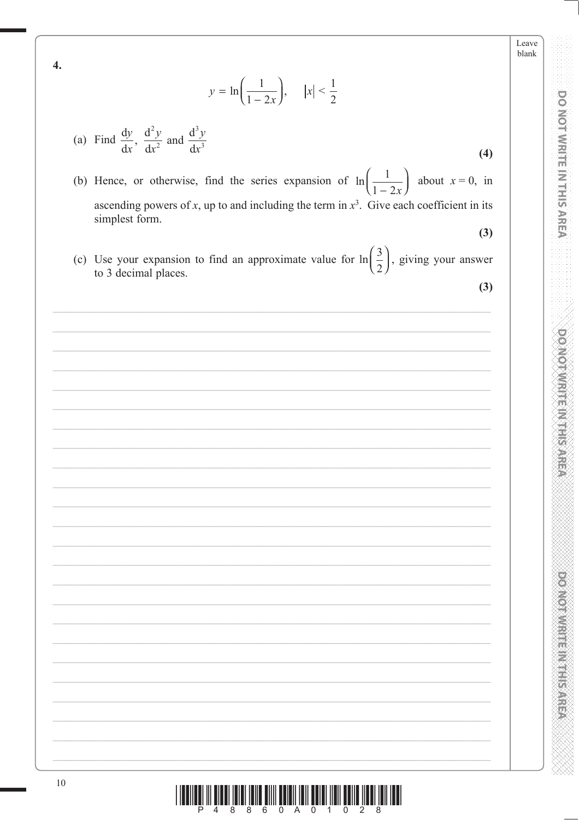Leave blank

**DO NOT WRITE IN THIS AREA** 

**DOMOTIVE IN HIS NEED** 

**Provident in the control of** 

$$
y = \ln\left(\frac{1}{1-2x}\right), \quad |x| < \frac{1}{2}
$$

(a) Find 
$$
\frac{dy}{dx}
$$
,  $\frac{d^2y}{dx^2}$  and  $\frac{d^3y}{dx^3}$ 

 $\overline{4}$ .

- (b) Hence, or otherwise, find the series expansion of  $\ln\left(\frac{1}{1-2x}\right)$ about  $x = 0$ , in ascending powers of x, up to and including the term in  $x^3$ . Give each coefficient in its simplest form.
- (c) Use your expansion to find an approximate value for  $\ln\left(\frac{3}{2}\right)$ , giving your answer to 3 decimal places.

| ۰.                     |         |
|------------------------|---------|
| ۰,<br>×<br>٧<br>×<br>× | ۰.<br>٠ |

 $(3)$ 

 $(4)$ 

I ILDIILÊ III ÎLDI ÎLDI ÎLINÊ ÊIII ÊDIRÎ ÎLINÊ ÊRINÎ ÎLINÊ ÊRINÊ ÎLDI ÎLIN ÎLDI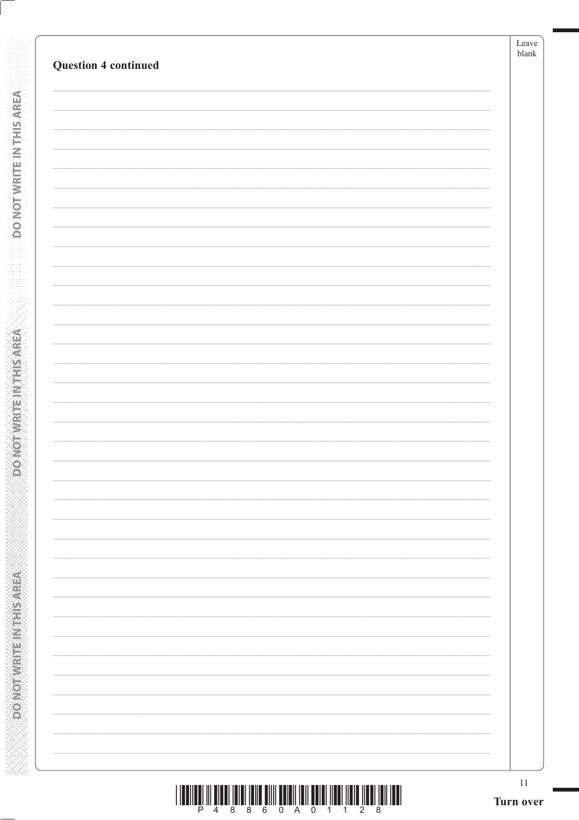**DO NOT WRITE INTERSAREA** 

**ASSESSMENT PROVIDED** 

| P 4 8 8 6 0 A 0 1 1 2 |  |  |  |  |  |
|-----------------------|--|--|--|--|--|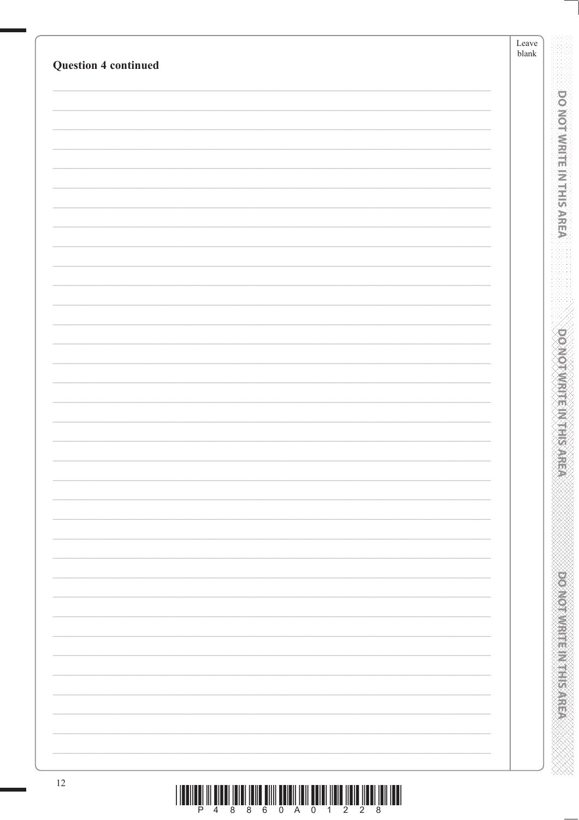| <b>Question 4 continued</b> | ${\rm Leave}$<br>${\it blank}$           |
|-----------------------------|------------------------------------------|
|                             |                                          |
|                             | <b>DO NOT WRITE IN THIS AREA</b>         |
|                             |                                          |
|                             |                                          |
|                             |                                          |
|                             |                                          |
|                             |                                          |
|                             |                                          |
|                             |                                          |
|                             |                                          |
|                             | <b>DOMOTAMENT ANTIES</b>                 |
|                             |                                          |
|                             |                                          |
|                             |                                          |
|                             |                                          |
|                             |                                          |
|                             |                                          |
|                             |                                          |
|                             |                                          |
|                             |                                          |
|                             | <b>PERSONAL PROPERTY AND INCOMESTING</b> |
|                             |                                          |
|                             |                                          |
|                             |                                          |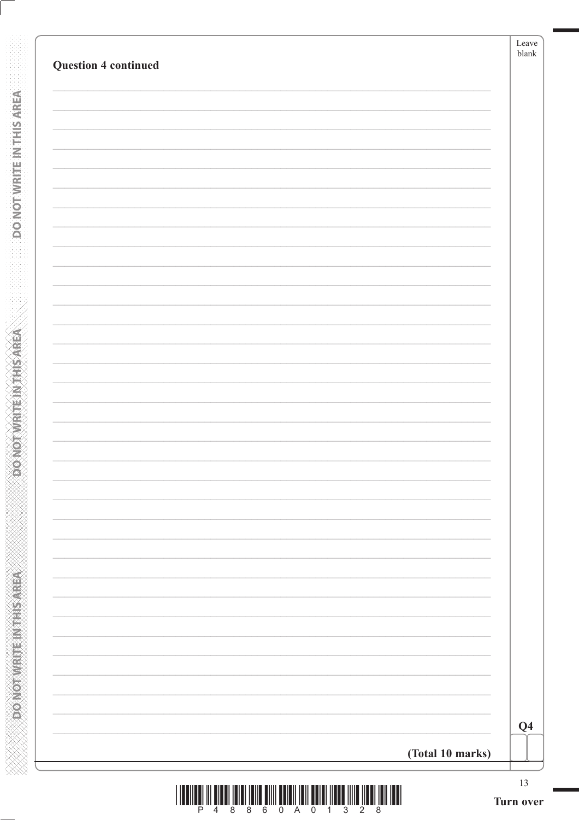|                  | Q <sub>4</sub> |
|------------------|----------------|
| (Total 10 marks) |                |

**DONOTWRITEWTHSAREA** 

**PONOTWRITEINITHSAREA** 

**WWW.MWWWWWWWWWWWWWWWWWW** 

|  |  | m |
|--|--|---|
|  |  |   |
|  |  |   |
|  |  |   |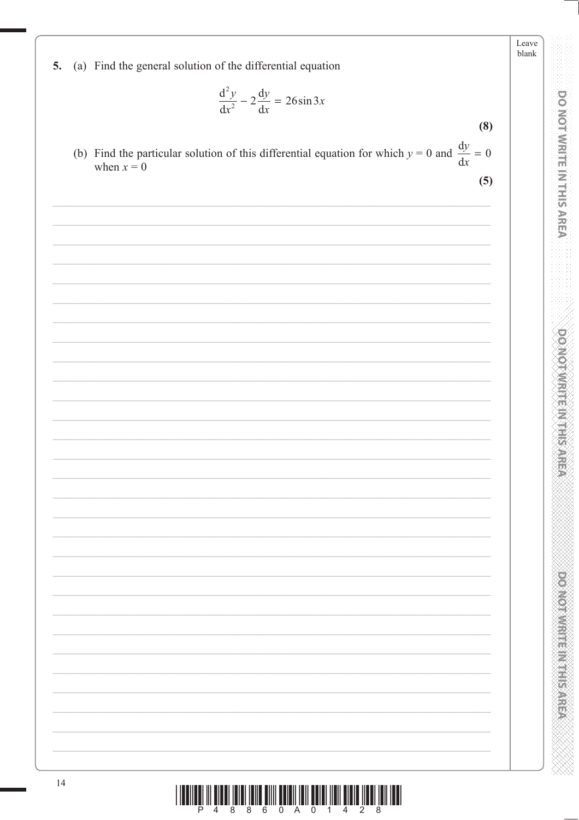blank (a) Find the general solution of the differential equation 5.  $\frac{\mathrm{d}^2 y}{\mathrm{d}x^2} - 2\frac{\mathrm{d}y}{\mathrm{d}x} = 26\sin 3x$  $(8)$ (b) Find the particular solution of this differential equation for which  $y = 0$  and  $\frac{dy}{dx} = 0$ when  $x = 0$  $(5)$  $14$ 

**PRODUCTS IN THE REPORT OF** 

Leave

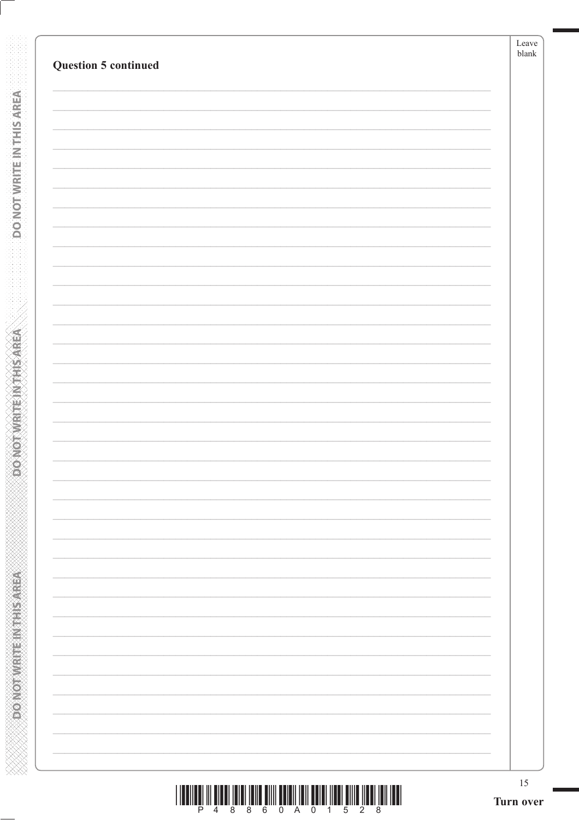| <b>Question 5 continued</b> | ${\tt blank}$ |
|-----------------------------|---------------|
|                             |               |
|                             |               |
|                             |               |
|                             |               |
|                             |               |
|                             |               |
|                             |               |
|                             |               |
|                             |               |
|                             |               |
|                             |               |
|                             |               |
|                             |               |
|                             |               |
|                             |               |
|                             |               |
|                             |               |
|                             |               |
|                             |               |
|                             |               |
|                             |               |
|                             |               |
|                             |               |
|                             |               |
|                             |               |
|                             |               |
|                             |               |
|                             |               |
|                             |               |
|                             |               |
|                             |               |
|                             |               |
|                             |               |

**DO NOT WRITE IN THIS AREA** 

**ABRASHMAN MANAGARY** 

|  |  |  |  | P 4 8 8 6 0 A 0 1 5 2 8 |  |  |  |
|--|--|--|--|-------------------------|--|--|--|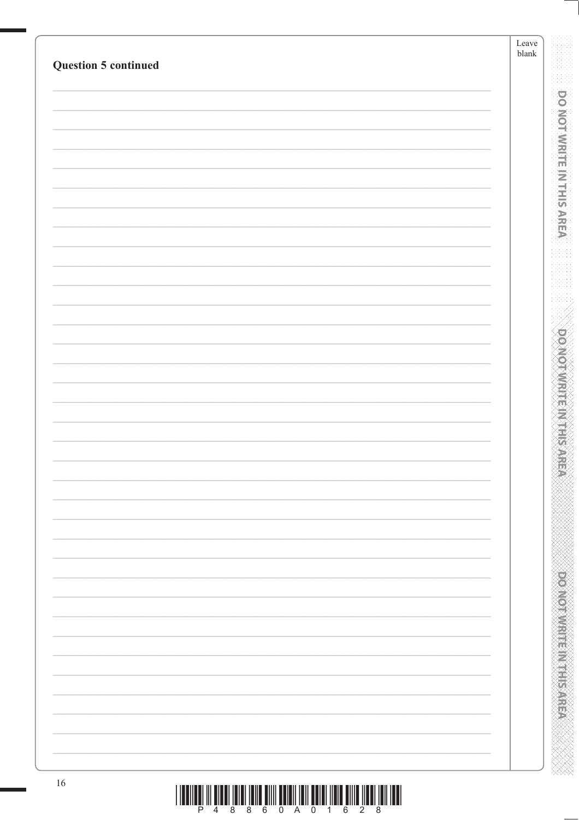| <b>Question 5 continued</b> |                                                                                              | Leave<br>$\ensuremath{\mathit{blank}}$ |
|-----------------------------|----------------------------------------------------------------------------------------------|----------------------------------------|
|                             |                                                                                              |                                        |
|                             |                                                                                              |                                        |
|                             |                                                                                              |                                        |
|                             |                                                                                              | <b>DO NOT WRITE IN THIS AREA</b>       |
|                             |                                                                                              |                                        |
|                             |                                                                                              |                                        |
|                             |                                                                                              |                                        |
|                             |                                                                                              |                                        |
|                             |                                                                                              |                                        |
|                             |                                                                                              | <b>DOMOTAMENT ANTINE</b>               |
|                             |                                                                                              |                                        |
|                             |                                                                                              |                                        |
|                             |                                                                                              |                                        |
|                             |                                                                                              |                                        |
|                             |                                                                                              |                                        |
|                             |                                                                                              |                                        |
|                             |                                                                                              |                                        |
|                             |                                                                                              | <b>PERSONAL PROPERTY AND INCOMES</b>   |
|                             |                                                                                              |                                        |
|                             |                                                                                              |                                        |
| 16                          | <u>וה שונותו ושונות הווה שונות המושא ווהו ווהותה מווה שונהו והוא והתארונות והווה ומוצא ו</u> |                                        |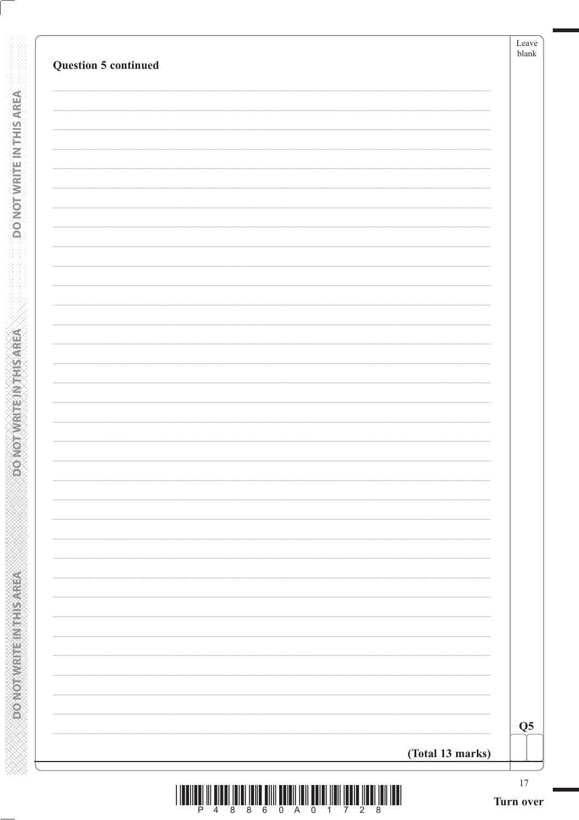| Question 5 continued |                  |
|----------------------|------------------|
|                      |                  |
|                      |                  |
|                      |                  |
|                      |                  |
|                      |                  |
|                      |                  |
|                      |                  |
|                      |                  |
|                      |                  |
|                      |                  |
|                      |                  |
|                      |                  |
|                      |                  |
|                      |                  |
|                      |                  |
|                      |                  |
|                      |                  |
|                      |                  |
|                      |                  |
|                      |                  |
|                      |                  |
|                      | (Total 13 marks) |

**DONOTWRITE IN THIS AREA** 

**ACTIVE SHEET METAL CONCORDED** 

**XXXXXXXXXXXXXXXXXXXXXXXXXXXXX**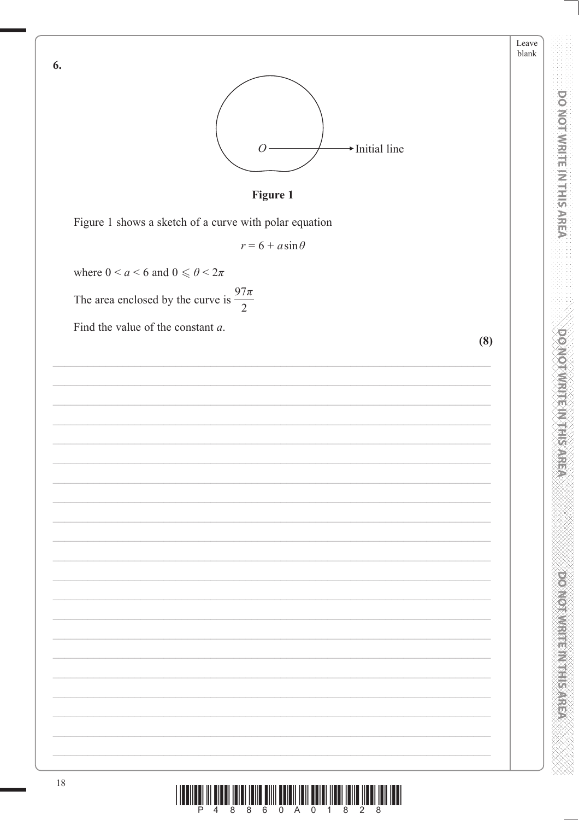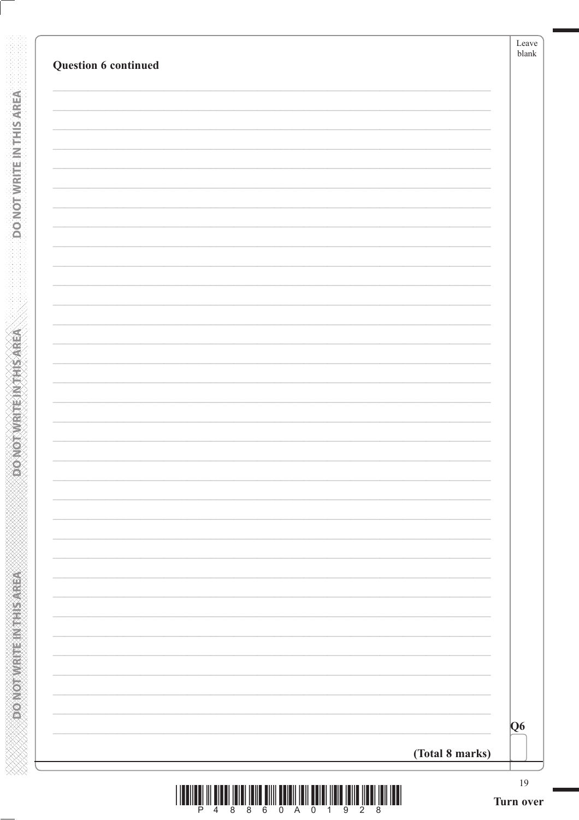| Question 6 continued |                 |
|----------------------|-----------------|
|                      |                 |
|                      |                 |
|                      |                 |
|                      |                 |
|                      |                 |
|                      |                 |
|                      |                 |
|                      |                 |
|                      |                 |
|                      |                 |
|                      |                 |
|                      |                 |
|                      |                 |
|                      |                 |
|                      |                 |
|                      |                 |
|                      |                 |
|                      |                 |
|                      |                 |
|                      |                 |
|                      |                 |
|                      |                 |
|                      |                 |
|                      |                 |
|                      |                 |
|                      |                 |
|                      |                 |
|                      | Q <sub>6</sub>  |
|                      | (Total 8 marks) |

**DONOTWATEWTHSAREA** 

**OC NOT WRITE IN THIS AREA**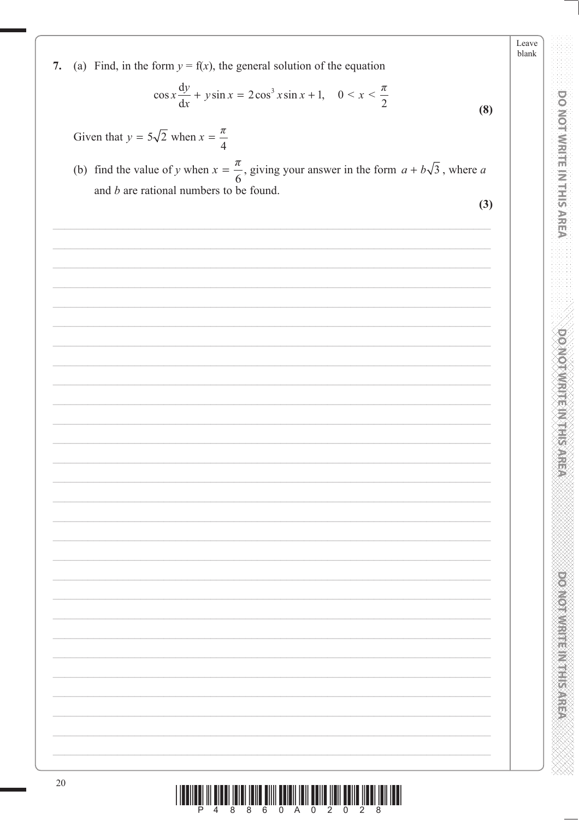Leave blank 7. (a) Find, in the form  $y = f(x)$ , the general solution of the equation  $\cos x \frac{dy}{dx} + y \sin x = 2 \cos^3 x \sin x + 1, \quad 0 < x < \frac{\pi}{2}$  $(8)$ Given that  $y = 5\sqrt{2}$  when  $x = \frac{\pi}{4}$ (b) find the value of y when  $x = \frac{\pi}{6}$ , giving your answer in the form  $a + b\sqrt{3}$ , where a and  $b$  are rational numbers to be found.  $(3)$ 20

DONOL WHILE IN THIS AREA

**DO MOTWRITE IN THIS AREA** 

**POSTER AND RESIDENCE**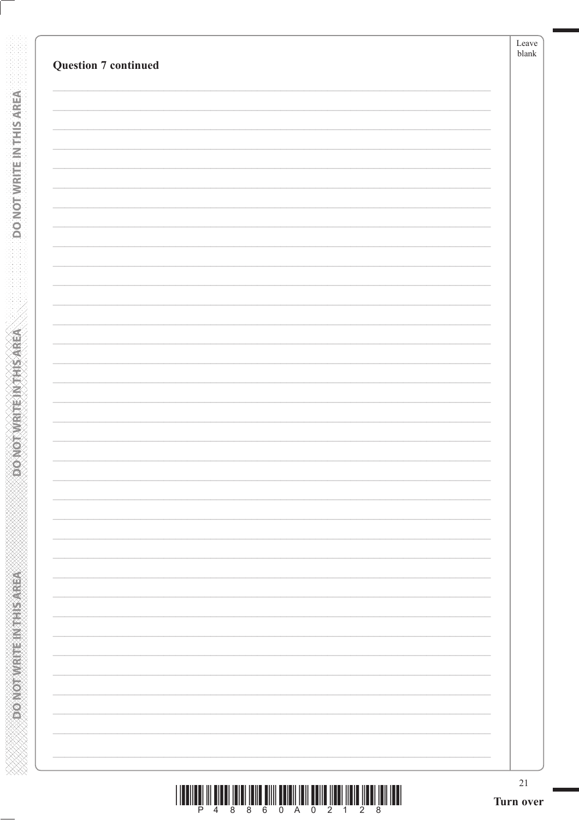**DO NOT WRITE INTERSAREA** 

**ABRASHMAN MANAGARY** 

| <u> I III MARTIN DI KATIKA MARTIN DI KATIKA MARTIN DI KATIKA MARTIN DI KATIKA MARTIN DI KATIKA MARTIN DI KATIKA M</u> |                       |  |  |  |  |  |
|-----------------------------------------------------------------------------------------------------------------------|-----------------------|--|--|--|--|--|
|                                                                                                                       | P 4 8 8 6 0 A 0 2 1 2 |  |  |  |  |  |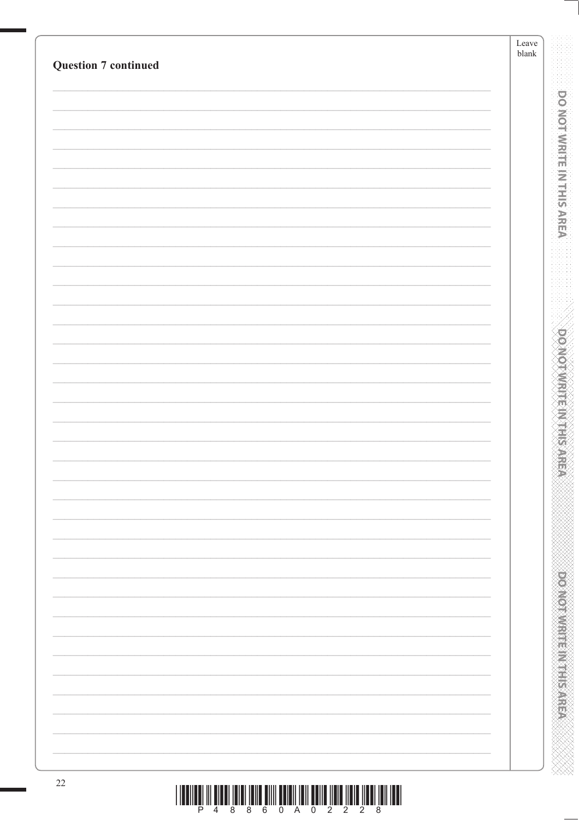| <b>Question 7 continued</b> | Leave<br>$b$ lank |                                         |
|-----------------------------|-------------------|-----------------------------------------|
|                             |                   |                                         |
|                             |                   | <b>DO NOT WRITE IN THIS AREA</b>        |
|                             |                   |                                         |
|                             |                   |                                         |
|                             |                   |                                         |
|                             |                   |                                         |
|                             |                   |                                         |
|                             |                   |                                         |
|                             |                   |                                         |
|                             |                   |                                         |
|                             |                   |                                         |
|                             |                   |                                         |
|                             |                   |                                         |
|                             |                   |                                         |
|                             |                   |                                         |
|                             |                   | <b>DOMOTAMENT MARKS</b>                 |
|                             |                   |                                         |
|                             |                   |                                         |
|                             |                   |                                         |
|                             |                   |                                         |
|                             |                   |                                         |
|                             |                   |                                         |
|                             |                   |                                         |
|                             |                   |                                         |
|                             |                   |                                         |
|                             |                   |                                         |
|                             |                   |                                         |
|                             |                   |                                         |
|                             |                   |                                         |
|                             |                   | <b>PERSONAL PROPERTY AND INCOMESTED</b> |
|                             |                   |                                         |
|                             |                   |                                         |
|                             |                   |                                         |
| $22\,$                      |                   |                                         |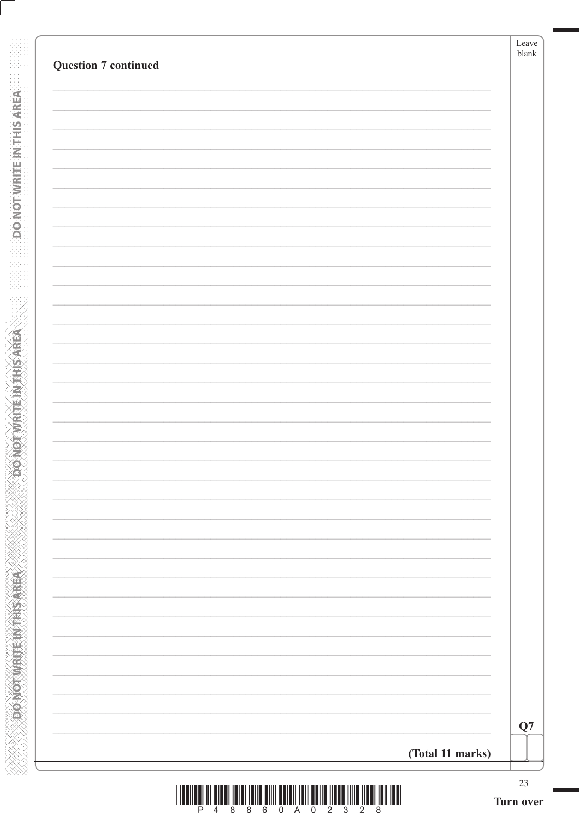| (Total 11 marks) |
|------------------|

**DONOTWRITEINTHISAREA** 

**RERASSINE IN ENDING YOURS** 

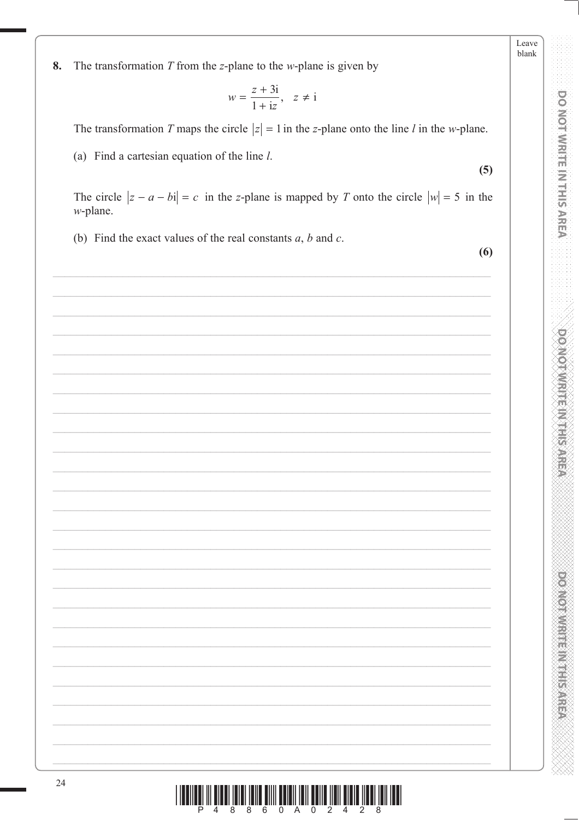Leave blank

**DO NOT WRITE IN THIS AREA** 

**DOMOTWRITEINTHISAREA** 

**DOMOTIVES HER WEEKS** 

The transformation  $T$  from the  $z$ -plane to the  $w$ -plane is given by 8.

$$
w = \frac{z + 3i}{1 + iz}, \quad z \neq i
$$

The transformation T maps the circle  $|z| = 1$  in the z-plane onto the line l in the w-plane.

(a) Find a cartesian equation of the line  $l$ .

 $(5)$ 

The circle  $|z - a - bi| = c$  in the z-plane is mapped by T onto the circle  $|w| = 5$  in the  $w$ -plane.

(b) Find the exact values of the real constants  $a, b$  and  $c$ .

 $(6)$ 

| $\frac{1}{4}$ |  |
|---------------|--|
|               |  |
|               |  |
|               |  |
|               |  |
|               |  |
|               |  |
|               |  |
|               |  |
|               |  |
|               |  |
|               |  |
|               |  |
|               |  |
|               |  |
|               |  |
|               |  |
|               |  |
|               |  |
|               |  |
|               |  |
|               |  |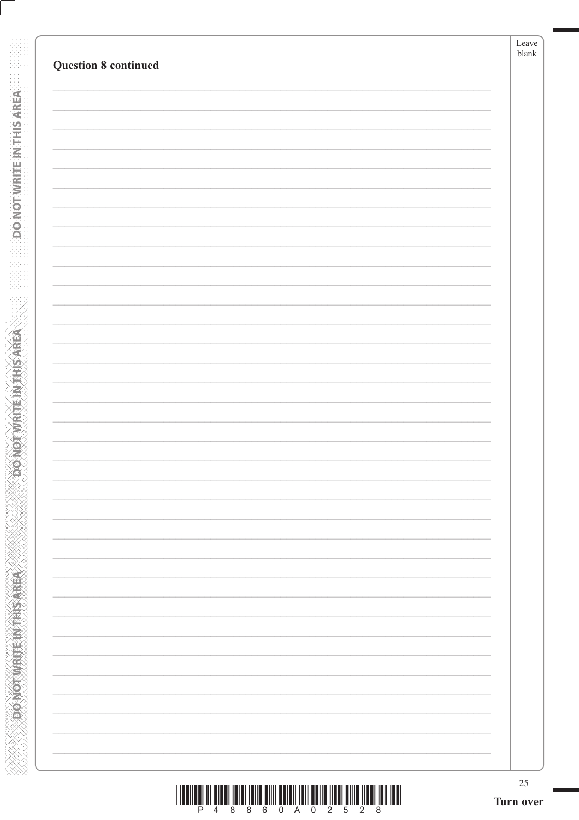DO NOT WRITE IN THIS AREA

ABING THE RIVERS OF CLASS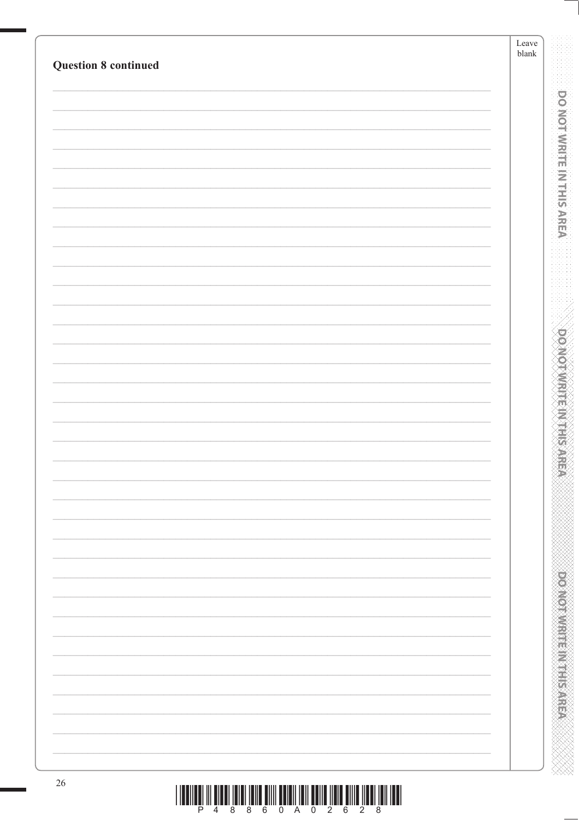| <b>Question 8 continued</b> | ${\rm Leave}$<br>$\ensuremath{\mathit{blank}}$ |
|-----------------------------|------------------------------------------------|
|                             |                                                |
|                             | <b>DO NOT WRITE IN THIS AREA</b>               |
|                             |                                                |
|                             |                                                |
|                             |                                                |
|                             |                                                |
|                             |                                                |
|                             |                                                |
|                             |                                                |
|                             | <b>DOMOTAMENT ANTINE</b>                       |
|                             |                                                |
|                             |                                                |
|                             |                                                |
|                             |                                                |
|                             |                                                |
|                             |                                                |
|                             |                                                |
|                             |                                                |
|                             |                                                |
|                             |                                                |
|                             | <b>PERSONAL PROPERTY AND INCOMESTING</b>       |
|                             |                                                |
|                             |                                                |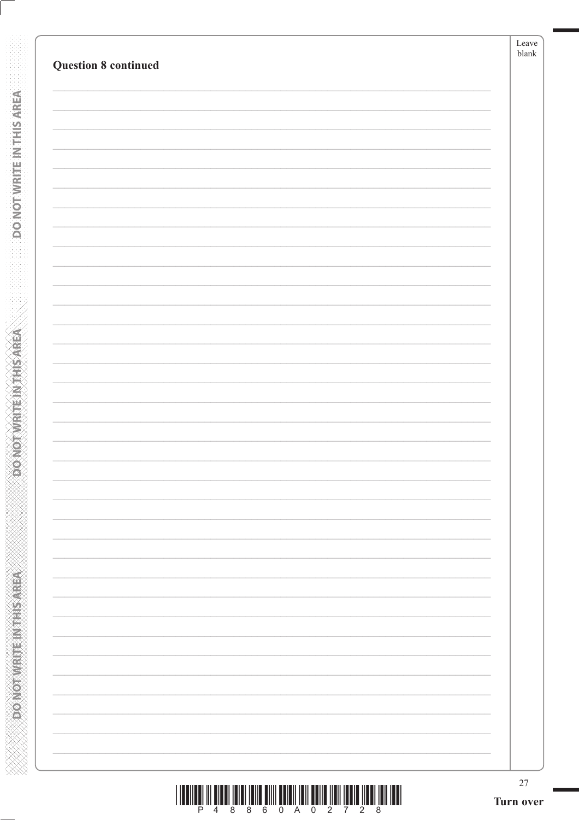| <b>Question 8 continued</b> | blank |
|-----------------------------|-------|
|                             |       |
|                             |       |
|                             |       |
|                             |       |
|                             |       |
|                             |       |
|                             |       |
|                             |       |
|                             |       |
|                             |       |
|                             |       |
|                             |       |
|                             |       |
|                             |       |
|                             |       |
|                             |       |
|                             |       |
|                             |       |
|                             |       |
|                             |       |
|                             |       |

DO NOT WRITE IN THIS AREA

**ABRASHMAN MANAGARY**